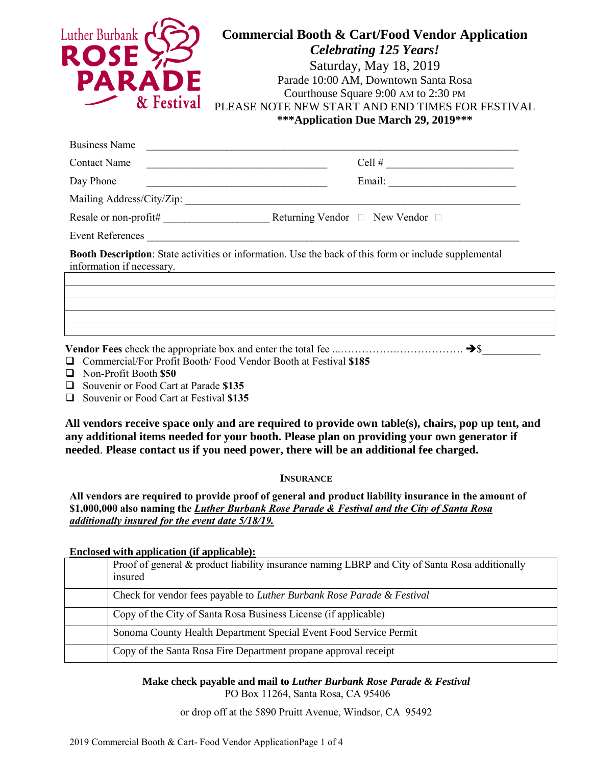| Luther Burbank<br><b>ROSI</b><br>PARA<br>& Festival                                                                                                                                                    | <b>Commercial Booth &amp; Cart/Food Vendor Application</b><br><b>Celebrating 125 Years!</b><br>Saturday, May 18, 2019<br>Parade 10:00 AM, Downtown Santa Rosa<br>Courthouse Square 9:00 AM to 2:30 PM<br>PLEASE NOTE NEW START AND END TIMES FOR FESTIVAL<br>***Application Due March 29, 2019*** |
|--------------------------------------------------------------------------------------------------------------------------------------------------------------------------------------------------------|---------------------------------------------------------------------------------------------------------------------------------------------------------------------------------------------------------------------------------------------------------------------------------------------------|
| <b>Business Name</b>                                                                                                                                                                                   |                                                                                                                                                                                                                                                                                                   |
| <b>Contact Name</b>                                                                                                                                                                                    | Cell # $\qquad \qquad$                                                                                                                                                                                                                                                                            |
| Day Phone                                                                                                                                                                                              | <u> 1989 - Johann Barbara, martin amerikan basal dan berasal dalam basal dalam basal dalam basal dalam basal dala</u>                                                                                                                                                                             |
|                                                                                                                                                                                                        |                                                                                                                                                                                                                                                                                                   |
|                                                                                                                                                                                                        |                                                                                                                                                                                                                                                                                                   |
|                                                                                                                                                                                                        | Event References                                                                                                                                                                                                                                                                                  |
| <b>Booth Description:</b> State activities or information. Use the back of this form or include supplemental<br>information if necessary.<br><u> 1989 - John Stein, Amerikaansk politiker († 1989)</u> |                                                                                                                                                                                                                                                                                                   |
|                                                                                                                                                                                                        |                                                                                                                                                                                                                                                                                                   |
|                                                                                                                                                                                                        |                                                                                                                                                                                                                                                                                                   |
|                                                                                                                                                                                                        |                                                                                                                                                                                                                                                                                                   |
|                                                                                                                                                                                                        |                                                                                                                                                                                                                                                                                                   |

**Vendor Fees** check the appropriate box and enter the total fee ...…………….………………. ➔\$\_\_\_\_\_\_\_\_\_\_\_ ❑ Commercial/For Profit Booth/ Food Vendor Booth at Festival **\$185**

- ❑ Non-Profit Booth **\$50**
- ❑ Souvenir or Food Cart at Parade **\$135**
- ❑ Souvenir or Food Cart at Festival **\$135**

**All vendors receive space only and are required to provide own table(s), chairs, pop up tent, and any additional items needed for your booth. Please plan on providing your own generator if needed**. **Please contact us if you need power, there will be an additional fee charged.**

## **INSURANCE**

**All vendors are required to provide proof of general and product liability insurance in the amount of \$1,000,000 also naming the** *Luther Burbank Rose Parade & Festival and the City of Santa Rosa additionally insured for the event date 5/18/19.*

**Enclosed with application (if applicable):**

| Proof of general & product liability insurance naming LBRP and City of Santa Rosa additionally<br>insured |
|-----------------------------------------------------------------------------------------------------------|
| Check for vendor fees payable to Luther Burbank Rose Parade & Festival                                    |
| Copy of the City of Santa Rosa Business License (if applicable)                                           |
| Sonoma County Health Department Special Event Food Service Permit                                         |
| Copy of the Santa Rosa Fire Department propane approval receipt                                           |

**Make check payable and mail to** *Luther Burbank Rose Parade & Festival* PO Box 11264, Santa Rosa, CA 95406

or drop off at the 5890 Pruitt Avenue, Windsor, CA 95492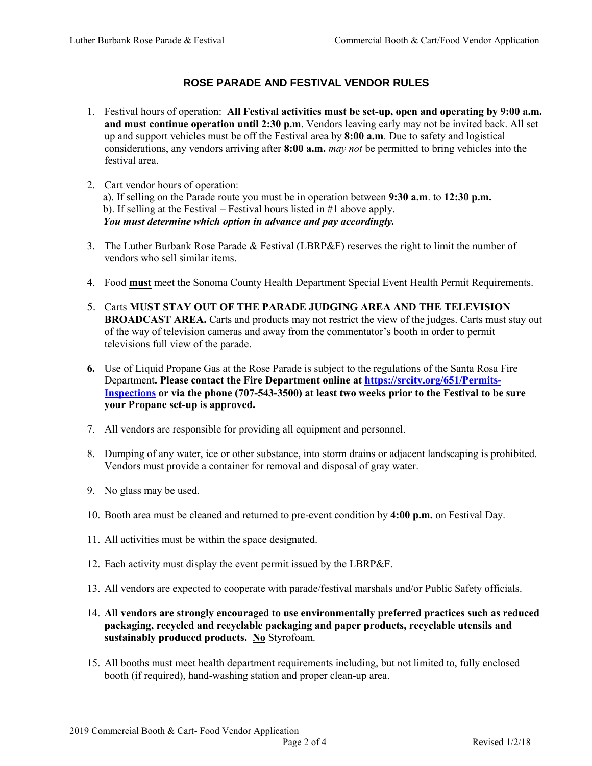## **ROSE PARADE AND FESTIVAL VENDOR RULES**

- 1. Festival hours of operation: **All Festival activities must be set-up, open and operating by 9:00 a.m. and must continue operation until 2:30 p.m**. Vendors leaving early may not be invited back. All set up and support vehicles must be off the Festival area by **8:00 a.m**. Due to safety and logistical considerations, any vendors arriving after **8:00 a.m.** *may not* be permitted to bring vehicles into the festival area.
- 2. Cart vendor hours of operation: a). If selling on the Parade route you must be in operation between **9:30 a.m**. to **12:30 p.m.** b). If selling at the Festival – Festival hours listed in  $#1$  above apply. *You must determine which option in advance and pay accordingly.*
- 3. The Luther Burbank Rose Parade & Festival (LBRP&F) reserves the right to limit the number of vendors who sell similar items.
- 4. Food **must** meet the Sonoma County Health Department Special Event Health Permit Requirements.
- 5. Carts **MUST STAY OUT OF THE PARADE JUDGING AREA AND THE TELEVISION BROADCAST AREA.** Carts and products may not restrict the view of the judges. Carts must stay out of the way of television cameras and away from the commentator's booth in order to permit televisions full view of the parade.
- **6.** Use of Liquid Propane Gas at the Rose Parade is subject to the regulations of the Santa Rosa Fire Department**. Please contact the Fire Department online at [https://srcity.org/651/Permits-](https://srcity.org/651/Permits-Inspections)[Inspections](https://srcity.org/651/Permits-Inspections) or via the phone (707-543-3500) at least two weeks prior to the Festival to be sure your Propane set-up is approved.**
- 7. All vendors are responsible for providing all equipment and personnel.
- 8. Dumping of any water, ice or other substance, into storm drains or adjacent landscaping is prohibited. Vendors must provide a container for removal and disposal of gray water.
- 9. No glass may be used.
- 10. Booth area must be cleaned and returned to pre-event condition by **4:00 p.m.** on Festival Day.
- 11. All activities must be within the space designated.
- 12. Each activity must display the event permit issued by the LBRP&F.
- 13. All vendors are expected to cooperate with parade/festival marshals and/or Public Safety officials.
- 14. **All vendors are strongly encouraged to use environmentally preferred practices such as reduced packaging, recycled and recyclable packaging and paper products, recyclable utensils and sustainably produced products. No** Styrofoam.
- 15. All booths must meet health department requirements including, but not limited to, fully enclosed booth (if required), hand-washing station and proper clean-up area.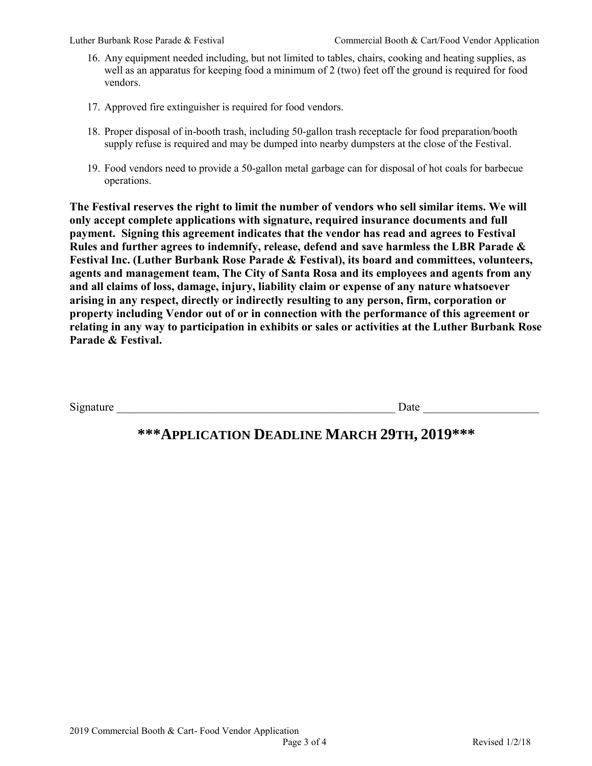- 16. Any equipment needed including, but not limited to tables, chairs, cooking and heating supplies, as well as an apparatus for keeping food a minimum of 2 (two) feet off the ground is required for food vendors.
- 17. Approved fire extinguisher is required for food vendors.
- 18. Proper disposal of in-booth trash, including 50-gallon trash receptacle for food preparation/booth supply refuse is required and may be dumped into nearby dumpsters at the close of the Festival.
- 19. Food vendors need to provide a 50-gallon metal garbage can for disposal of hot coals for barbecue operations.

**The Festival reserves the right to limit the number of vendors who sell similar items. We will only accept complete applications with signature, required insurance documents and full payment. Signing this agreement indicates that the vendor has read and agrees to Festival Rules and further agrees to indemnify, release, defend and save harmless the LBR Parade & Festival Inc. (Luther Burbank Rose Parade & Festival), its board and committees, volunteers, agents and management team, The City of Santa Rosa and its employees and agents from any and all claims of loss, damage, injury, liability claim or expense of any nature whatsoever arising in any respect, directly or indirectly resulting to any person, firm, corporation or property including Vendor out of or in connection with the performance of this agreement or relating in any way to participation in exhibits or sales or activities at the Luther Burbank Rose Parade & Festival.** 

Signature  $\Box$ 

## **\*\*\*APPLICATION DEADLINE MARCH 29TH, 2019\*\*\***